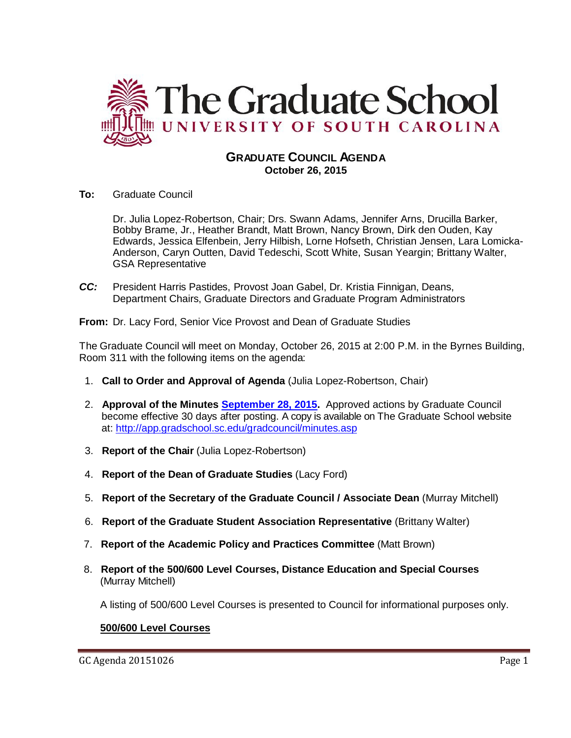

# **GRADUATE COUNCIL AGENDA October 26, 2015**

**To:** Graduate Council

Dr. Julia Lopez-Robertson, Chair; Drs. Swann Adams, Jennifer Arns, Drucilla Barker, Bobby Brame, Jr., Heather Brandt, Matt Brown, Nancy Brown, Dirk den Ouden, Kay Edwards, Jessica Elfenbein, Jerry Hilbish, Lorne Hofseth, Christian Jensen, Lara Lomicka-Anderson, Caryn Outten, David Tedeschi, Scott White, Susan Yeargin; Brittany Walter, GSA Representative

*CC:* President Harris Pastides, Provost Joan Gabel, Dr. Kristia Finnigan, Deans, Department Chairs, Graduate Directors and Graduate Program Administrators

**From:** Dr. Lacy Ford, Senior Vice Provost and Dean of Graduate Studies

The Graduate Council will meet on Monday, October 26, 2015 at 2:00 P.M. in the Byrnes Building, Room 311 with the following items on the agenda:

- 1. **Call to Order and Approval of Agenda** (Julia Lopez-Robertson, Chair)
- 2. **Approval of the Minutes [September 28, 2015.](http://gradschool.sc.edu/facstaff/gradcouncil/2015/GC%20Minutes%20September%2028%202015r.pdf)** Approved actions by Graduate Council become effective 30 days after posting. A copy is available on The Graduate School website at:<http://app.gradschool.sc.edu/gradcouncil/minutes.asp>
- 3. **Report of the Chair** (Julia Lopez-Robertson)
- 4. **Report of the Dean of Graduate Studies** (Lacy Ford)
- 5. **Report of the Secretary of the Graduate Council / Associate Dean** (Murray Mitchell)
- 6. **Report of the Graduate Student Association Representative** (Brittany Walter)
- 7. **Report of the Academic Policy and Practices Committee** (Matt Brown)
- 8. **Report of the 500/600 Level Courses, Distance Education and Special Courses** (Murray Mitchell)

A listing of 500/600 Level Courses is presented to Council for informational purposes only.

# **500/600 Level Courses**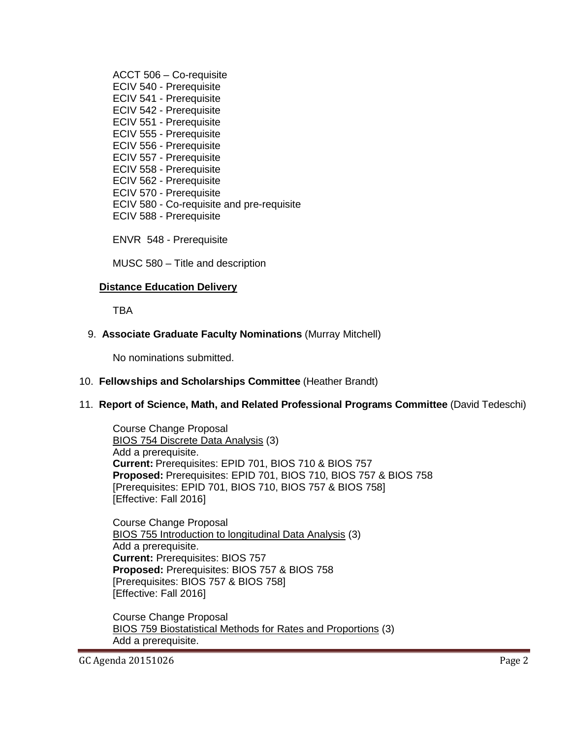ACCT 506 – Co-requisite ECIV 540 - Prerequisite ECIV 541 - Prerequisite ECIV 542 - Prerequisite ECIV 551 - Prerequisite ECIV 555 - Prerequisite ECIV 556 - Prerequisite ECIV 557 - Prerequisite ECIV 558 - Prerequisite ECIV 562 - Prerequisite ECIV 570 - Prerequisite ECIV 580 - Co-requisite and pre-requisite ECIV 588 - Prerequisite

ENVR 548 - Prerequisite

MUSC 580 – Title and description

#### **Distance Education Delivery**

TBA

## 9. **Associate Graduate Faculty Nominations** (Murray Mitchell)

No nominations submitted.

#### 10. **Fellowships and Scholarships Committee** (Heather Brandt)

## 11. **Report of Science, Math, and Related Professional Programs Committee** (David Tedeschi)

Course Change Proposal BIOS 754 Discrete Data Analysis (3) Add a prerequisite. **Current:** Prerequisites: EPID 701, BIOS 710 & BIOS 757 **Proposed:** Prerequisites: EPID 701, BIOS 710, BIOS 757 & BIOS 758 [Prerequisites: EPID 701, BIOS 710, BIOS 757 & BIOS 758] [Effective: Fall 2016]

Course Change Proposal BIOS 755 Introduction to longitudinal Data Analysis (3) Add a prerequisite. **Current:** Prerequisites: BIOS 757 **Proposed:** Prerequisites: BIOS 757 & BIOS 758 [Prerequisites: BIOS 757 & BIOS 758] [Effective: Fall 2016]

Course Change Proposal BIOS 759 Biostatistical Methods for Rates and Proportions (3) Add a prerequisite.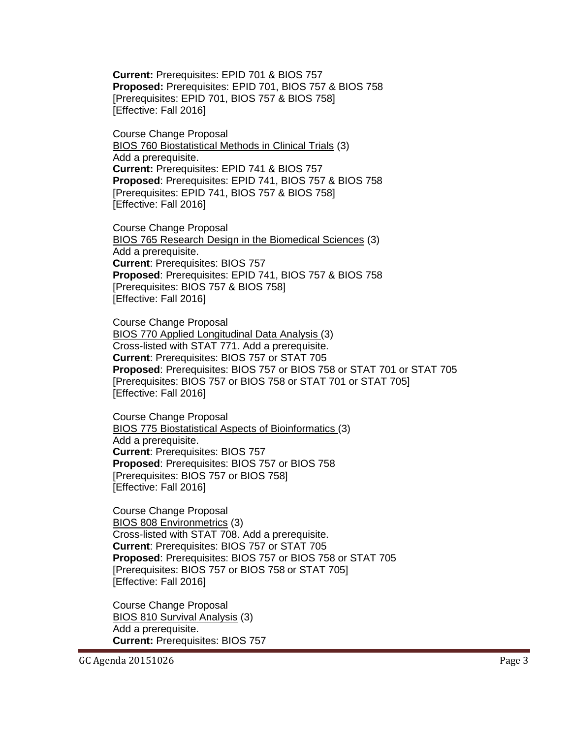**Current:** Prerequisites: EPID 701 & BIOS 757 **Proposed:** Prerequisites: EPID 701, BIOS 757 & BIOS 758 [Prerequisites: EPID 701, BIOS 757 & BIOS 758] [Effective: Fall 2016]

Course Change Proposal BIOS 760 Biostatistical Methods in Clinical Trials (3) Add a prerequisite. **Current:** Prerequisites: EPID 741 & BIOS 757 **Proposed**: Prerequisites: EPID 741, BIOS 757 & BIOS 758 [Prerequisites: EPID 741, BIOS 757 & BIOS 758] [Effective: Fall 2016]

Course Change Proposal BIOS 765 Research Design in the Biomedical Sciences (3) Add a prerequisite. **Current**: Prerequisites: BIOS 757 **Proposed**: Prerequisites: EPID 741, BIOS 757 & BIOS 758 [Prerequisites: BIOS 757 & BIOS 758] [Effective: Fall 2016]

Course Change Proposal BIOS 770 Applied Longitudinal Data Analysis (3) Cross-listed with STAT 771. Add a prerequisite. **Current**: Prerequisites: BIOS 757 or STAT 705 **Proposed**: Prerequisites: BIOS 757 or BIOS 758 or STAT 701 or STAT 705 [Prerequisites: BIOS 757 or BIOS 758 or STAT 701 or STAT 705] [Effective: Fall 2016]

Course Change Proposal BIOS 775 Biostatistical Aspects of Bioinformatics (3) Add a prerequisite. **Current**: Prerequisites: BIOS 757 **Proposed**: Prerequisites: BIOS 757 or BIOS 758 [Prerequisites: BIOS 757 or BIOS 758] [Effective: Fall 2016]

Course Change Proposal BIOS 808 Environmetrics (3) Cross-listed with STAT 708. Add a prerequisite. **Current**: Prerequisites: BIOS 757 or STAT 705 **Proposed**: Prerequisites: BIOS 757 or BIOS 758 or STAT 705 [Prerequisites: BIOS 757 or BIOS 758 or STAT 705] [Effective: Fall 2016]

Course Change Proposal BIOS 810 Survival Analysis (3) Add a prerequisite. **Current:** Prerequisites: BIOS 757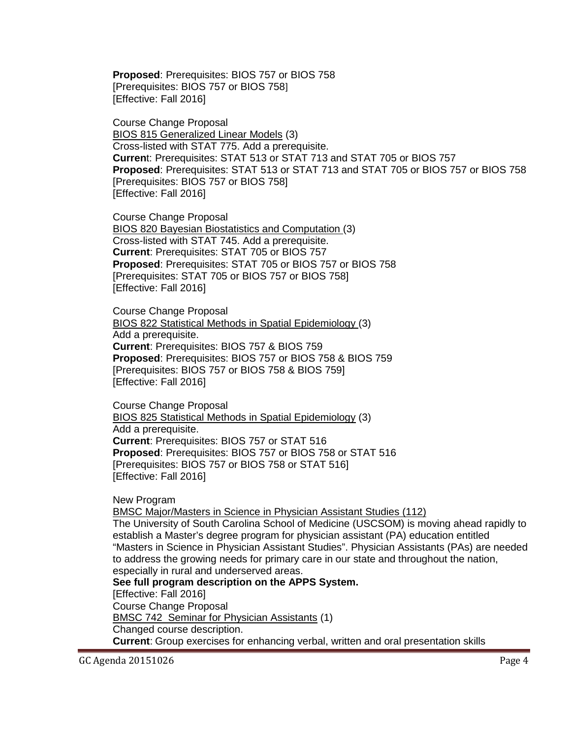**Proposed**: Prerequisites: BIOS 757 or BIOS 758 [Prerequisites: BIOS 757 or BIOS 758] [Effective: Fall 2016]

Course Change Proposal BIOS 815 Generalized Linear Models (3) Cross-listed with STAT 775. Add a prerequisite. **Curren**t: Prerequisites: STAT 513 or STAT 713 and STAT 705 or BIOS 757 **Proposed**: Prerequisites: STAT 513 or STAT 713 and STAT 705 or BIOS 757 or BIOS 758 [Prerequisites: BIOS 757 or BIOS 758] [Effective: Fall 2016]

Course Change Proposal BIOS 820 Bayesian Biostatistics and Computation (3) Cross-listed with STAT 745. Add a prerequisite. **Current**: Prerequisites: STAT 705 or BIOS 757 **Proposed**: Prerequisites: STAT 705 or BIOS 757 or BIOS 758 [Prerequisites: STAT 705 or BIOS 757 or BIOS 758] [Effective: Fall 2016]

Course Change Proposal BIOS 822 Statistical Methods in Spatial Epidemiology (3) Add a prerequisite. **Current**: Prerequisites: BIOS 757 & BIOS 759 **Proposed**: Prerequisites: BIOS 757 or BIOS 758 & BIOS 759 [Prerequisites: BIOS 757 or BIOS 758 & BIOS 759] [Effective: Fall 2016]

Course Change Proposal BIOS 825 Statistical Methods in Spatial Epidemiology (3) Add a prerequisite. **Current**: Prerequisites: BIOS 757 or STAT 516 **Proposed**: Prerequisites: BIOS 757 or BIOS 758 or STAT 516 [Prerequisites: BIOS 757 or BIOS 758 or STAT 516] [Effective: Fall 2016]

New Program

BMSC Major/Masters in Science in Physician Assistant Studies (112)

The University of South Carolina School of Medicine (USCSOM) is moving ahead rapidly to establish a Master's degree program for physician assistant (PA) education entitled "Masters in Science in Physician Assistant Studies". Physician Assistants (PAs) are needed to address the growing needs for primary care in our state and throughout the nation, especially in rural and underserved areas.

**See full program description on the APPS System.**

[Effective: Fall 2016]

Course Change Proposal

BMSC 742 Seminar for Physician Assistants (1)

Changed course description.

**Current**: Group exercises for enhancing verbal, written and oral presentation skills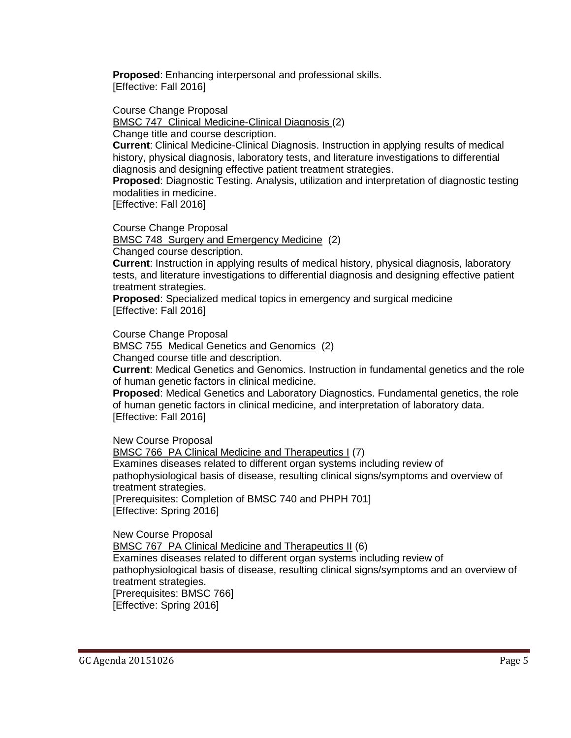**Proposed**: Enhancing interpersonal and professional skills. [Effective: Fall 2016]

Course Change Proposal

BMSC 747 Clinical Medicine-Clinical Diagnosis (2)

Change title and course description.

**Current**: Clinical Medicine-Clinical Diagnosis. Instruction in applying results of medical history, physical diagnosis, laboratory tests, and literature investigations to differential diagnosis and designing effective patient treatment strategies.

**Proposed**: Diagnostic Testing. Analysis, utilization and interpretation of diagnostic testing modalities in medicine.

[Effective: Fall 2016]

Course Change Proposal

BMSC 748 Surgery and Emergency Medicine (2)

Changed course description.

**Current**: Instruction in applying results of medical history, physical diagnosis, laboratory tests, and literature investigations to differential diagnosis and designing effective patient treatment strategies.

**Proposed**: Specialized medical topics in emergency and surgical medicine [Effective: Fall 2016]

Course Change Proposal

BMSC 755 Medical Genetics and Genomics (2)

Changed course title and description.

**Current**: Medical Genetics and Genomics. Instruction in fundamental genetics and the role of human genetic factors in clinical medicine.

**Proposed**: Medical Genetics and Laboratory Diagnostics. Fundamental genetics, the role of human genetic factors in clinical medicine, and interpretation of laboratory data. [Effective: Fall 2016]

New Course Proposal

BMSC 766 PA Clinical Medicine and Therapeutics I (7) Examines diseases related to different organ systems including review of pathophysiological basis of disease, resulting clinical signs/symptoms and overview of treatment strategies. [Prerequisites: Completion of BMSC 740 and PHPH 701] [Effective: Spring 2016]

New Course Proposal BMSC 767 PA Clinical Medicine and Therapeutics II (6) Examines diseases related to different organ systems including review of pathophysiological basis of disease, resulting clinical signs/symptoms and an overview of treatment strategies. [Prerequisites: BMSC 766] [Effective: Spring 2016]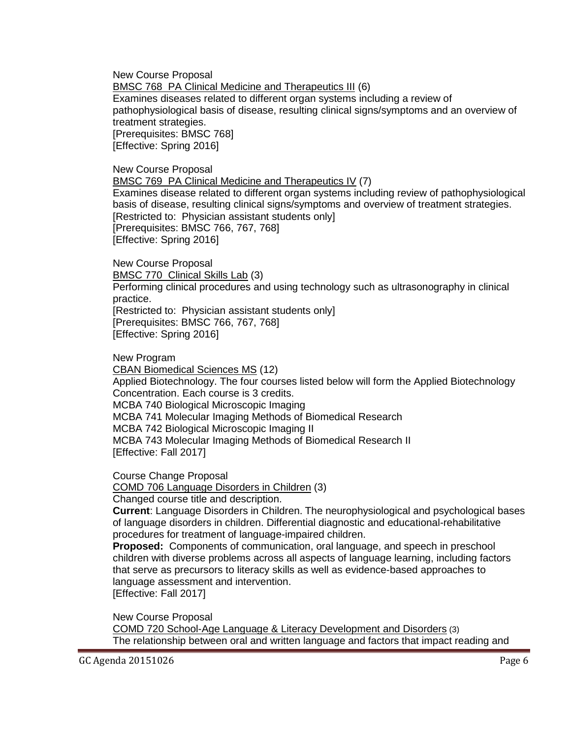New Course Proposal BMSC 768 PA Clinical Medicine and Therapeutics III (6) Examines diseases related to different organ systems including a review of pathophysiological basis of disease, resulting clinical signs/symptoms and an overview of treatment strategies. [Prerequisites: BMSC 768] [Effective: Spring 2016]

New Course Proposal

BMSC 769 PA Clinical Medicine and Therapeutics IV (7)

Examines disease related to different organ systems including review of pathophysiological basis of disease, resulting clinical signs/symptoms and overview of treatment strategies. [Restricted to: Physician assistant students only] [Prerequisites: BMSC 766, 767, 768] [Effective: Spring 2016]

New Course Proposal BMSC 770 Clinical Skills Lab (3)

Performing clinical procedures and using technology such as ultrasonography in clinical practice.

[Restricted to: Physician assistant students only] [Prerequisites: BMSC 766, 767, 768] [Effective: Spring 2016]

New Program

CBAN Biomedical Sciences MS (12)

Applied Biotechnology. The four courses listed below will form the Applied Biotechnology Concentration. Each course is 3 credits. MCBA 740 Biological Microscopic Imaging

MCBA 741 Molecular Imaging Methods of Biomedical Research

MCBA 742 Biological Microscopic Imaging II

MCBA 743 Molecular Imaging Methods of Biomedical Research II [Effective: Fall 2017]

Course Change Proposal

COMD 706 Language Disorders in Children (3)

Changed course title and description.

**Current**: Language Disorders in Children. The neurophysiological and psychological bases of language disorders in children. Differential diagnostic and educational-rehabilitative procedures for treatment of language-impaired children.

**Proposed:** Components of communication, oral language, and speech in preschool children with diverse problems across all aspects of language learning, including factors that serve as precursors to literacy skills as well as evidence-based approaches to language assessment and intervention.

[Effective: Fall 2017]

New Course Proposal

COMD 720 School-Age Language & Literacy Development and Disorders (3) The relationship between oral and written language and factors that impact reading and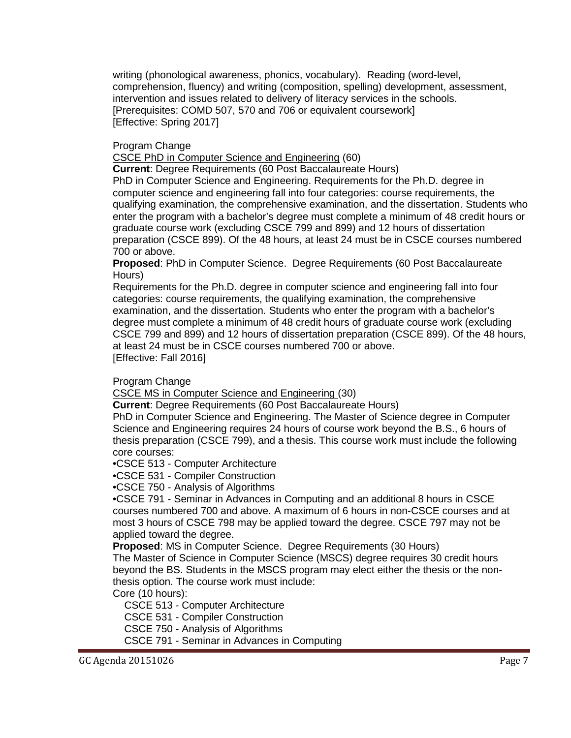writing (phonological awareness, phonics, vocabulary). Reading (word-level, comprehension, fluency) and writing (composition, spelling) development, assessment, intervention and issues related to delivery of literacy services in the schools. [Prerequisites: COMD 507, 570 and 706 or equivalent coursework] [Effective: Spring 2017]

Program Change

CSCE PhD in Computer Science and Engineering (60)

**Current**: Degree Requirements (60 Post Baccalaureate Hours) PhD in Computer Science and Engineering. Requirements for the Ph.D. degree in computer science and engineering fall into four categories: course requirements, the qualifying examination, the comprehensive examination, and the dissertation. Students who enter the program with a bachelor's degree must complete a minimum of 48 credit hours or graduate course work (excluding CSCE 799 and 899) and 12 hours of dissertation preparation (CSCE 899). Of the 48 hours, at least 24 must be in CSCE courses numbered 700 or above.

**Proposed**: PhD in Computer Science. Degree Requirements (60 Post Baccalaureate Hours)

Requirements for the Ph.D. degree in computer science and engineering fall into four categories: course requirements, the qualifying examination, the comprehensive examination, and the dissertation. Students who enter the program with a bachelor's degree must complete a minimum of 48 credit hours of graduate course work (excluding CSCE 799 and 899) and 12 hours of dissertation preparation (CSCE 899). Of the 48 hours, at least 24 must be in CSCE courses numbered 700 or above. [Effective: Fall 2016]

Program Change

CSCE MS in Computer Science and Engineering (30)

**Current**: Degree Requirements (60 Post Baccalaureate Hours)

PhD in Computer Science and Engineering. The Master of Science degree in Computer Science and Engineering requires 24 hours of course work beyond the B.S., 6 hours of thesis preparation (CSCE 799), and a thesis. This course work must include the following core courses:

•CSCE 513 - Computer Architecture

•CSCE 531 - Compiler Construction

•CSCE 750 - Analysis of Algorithms

•CSCE 791 - Seminar in Advances in Computing and an additional 8 hours in CSCE courses numbered 700 and above. A maximum of 6 hours in non-CSCE courses and at most 3 hours of CSCE 798 may be applied toward the degree. CSCE 797 may not be applied toward the degree.

**Proposed**: MS in Computer Science. Degree Requirements (30 Hours)

The Master of Science in Computer Science (MSCS) degree requires 30 credit hours beyond the BS. Students in the MSCS program may elect either the thesis or the nonthesis option. The course work must include:

Core (10 hours):

CSCE 513 - Computer Architecture

CSCE 531 - Compiler Construction

CSCE 750 - Analysis of Algorithms

CSCE 791 - Seminar in Advances in Computing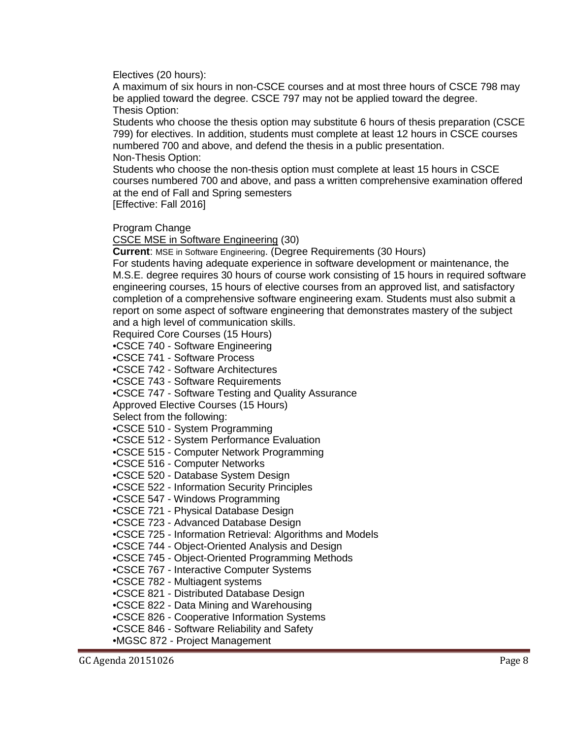Electives (20 hours):

A maximum of six hours in non-CSCE courses and at most three hours of CSCE 798 may be applied toward the degree. CSCE 797 may not be applied toward the degree. Thesis Option:

Students who choose the thesis option may substitute 6 hours of thesis preparation (CSCE 799) for electives. In addition, students must complete at least 12 hours in CSCE courses numbered 700 and above, and defend the thesis in a public presentation. Non-Thesis Option:

Students who choose the non-thesis option must complete at least 15 hours in CSCE courses numbered 700 and above, and pass a written comprehensive examination offered at the end of Fall and Spring semesters

[Effective: Fall 2016]

#### Program Change

CSCE MSE in Software Engineering (30)

**Current**: MSE in Software Engineering. (Degree Requirements (30 Hours)

For students having adequate experience in software development or maintenance, the M.S.E. degree requires 30 hours of course work consisting of 15 hours in required software engineering courses, 15 hours of elective courses from an approved list, and satisfactory completion of a comprehensive software engineering exam. Students must also submit a report on some aspect of software engineering that demonstrates mastery of the subject and a high level of communication skills.

Required Core Courses (15 Hours)

•CSCE 740 - Software Engineering

•CSCE 741 - Software Process

•CSCE 742 - Software Architectures

•CSCE 743 - Software Requirements

•CSCE 747 - Software Testing and Quality Assurance

Approved Elective Courses (15 Hours)

Select from the following:

•CSCE 510 - System Programming

•CSCE 512 - System Performance Evaluation

•CSCE 515 - Computer Network Programming

•CSCE 516 - Computer Networks

•CSCE 520 - Database System Design

•CSCE 522 - Information Security Principles

•CSCE 547 - Windows Programming

•CSCE 721 - Physical Database Design

•CSCE 723 - Advanced Database Design

•CSCE 725 - Information Retrieval: Algorithms and Models

•CSCE 744 - Object-Oriented Analysis and Design

•CSCE 745 - Object-Oriented Programming Methods

•CSCE 767 - Interactive Computer Systems

•CSCE 782 - Multiagent systems

•CSCE 821 - Distributed Database Design

•CSCE 822 - Data Mining and Warehousing

•CSCE 826 - Cooperative Information Systems

•CSCE 846 - Software Reliability and Safety

•MGSC 872 - Project Management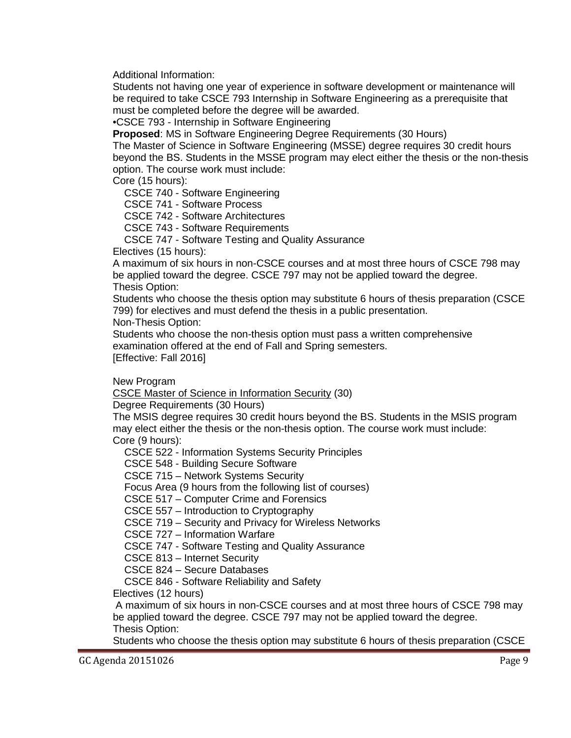Additional Information:

Students not having one year of experience in software development or maintenance will be required to take CSCE 793 Internship in Software Engineering as a prerequisite that must be completed before the degree will be awarded.

•CSCE 793 - Internship in Software Engineering

**Proposed**: MS in Software Engineering Degree Requirements (30 Hours)

The Master of Science in Software Engineering (MSSE) degree requires 30 credit hours beyond the BS. Students in the MSSE program may elect either the thesis or the non-thesis option. The course work must include:

Core (15 hours):

CSCE 740 - Software Engineering

CSCE 741 - Software Process

CSCE 742 - Software Architectures

CSCE 743 - Software Requirements

CSCE 747 - Software Testing and Quality Assurance

Electives (15 hours):

A maximum of six hours in non-CSCE courses and at most three hours of CSCE 798 may be applied toward the degree. CSCE 797 may not be applied toward the degree. Thesis Option:

Students who choose the thesis option may substitute 6 hours of thesis preparation (CSCE 799) for electives and must defend the thesis in a public presentation.

Non-Thesis Option:

Students who choose the non-thesis option must pass a written comprehensive examination offered at the end of Fall and Spring semesters.

[Effective: Fall 2016]

New Program

CSCE Master of Science in Information Security (30)

Degree Requirements (30 Hours)

The MSIS degree requires 30 credit hours beyond the BS. Students in the MSIS program may elect either the thesis or the non-thesis option. The course work must include: Core (9 hours):

CSCE 522 - Information Systems Security Principles

CSCE 548 - Building Secure Software

CSCE 715 – Network Systems Security

Focus Area (9 hours from the following list of courses)

CSCE 517 – Computer Crime and Forensics

CSCE 557 – Introduction to Cryptography

CSCE 719 – Security and Privacy for Wireless Networks

CSCE 727 – Information Warfare

CSCE 747 - Software Testing and Quality Assurance

CSCE 813 – Internet Security

CSCE 824 – Secure Databases

CSCE 846 - Software Reliability and Safety

Electives (12 hours)

A maximum of six hours in non-CSCE courses and at most three hours of CSCE 798 may be applied toward the degree. CSCE 797 may not be applied toward the degree. Thesis Option:

Students who choose the thesis option may substitute 6 hours of thesis preparation (CSCE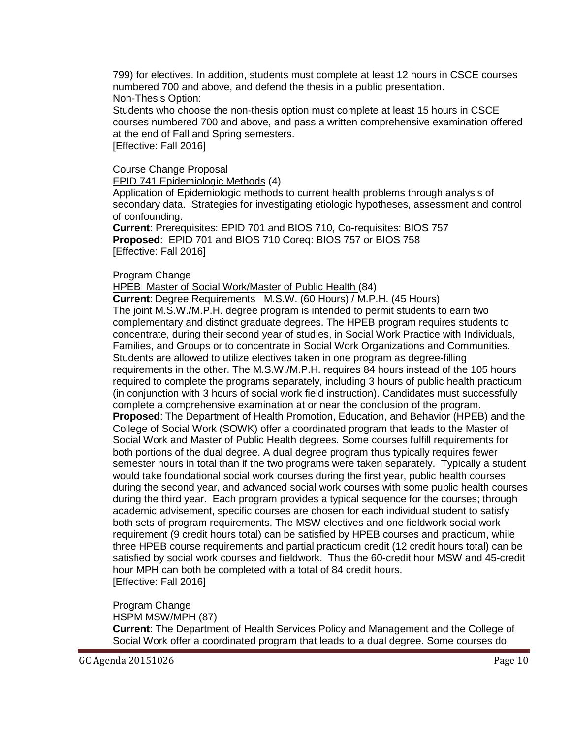799) for electives. In addition, students must complete at least 12 hours in CSCE courses numbered 700 and above, and defend the thesis in a public presentation. Non-Thesis Option:

Students who choose the non-thesis option must complete at least 15 hours in CSCE courses numbered 700 and above, and pass a written comprehensive examination offered at the end of Fall and Spring semesters.

[Effective: Fall 2016]

## Course Change Proposal

EPID 741 Epidemiologic Methods (4)

Application of Epidemiologic methods to current health problems through analysis of secondary data. Strategies for investigating etiologic hypotheses, assessment and control of confounding.

**Current**: Prerequisites: EPID 701 and BIOS 710, Co-requisites: BIOS 757 **Proposed**: EPID 701 and BIOS 710 Coreq: BIOS 757 or BIOS 758 [Effective: Fall 2016]

## Program Change

HPEB Master of Social Work/Master of Public Health (84)

**Current**: Degree Requirements M.S.W. (60 Hours) / M.P.H. (45 Hours) The joint M.S.W./M.P.H. degree program is intended to permit students to earn two complementary and distinct graduate degrees. The HPEB program requires students to concentrate, during their second year of studies, in Social Work Practice with Individuals, Families, and Groups or to concentrate in Social Work Organizations and Communities. Students are allowed to utilize electives taken in one program as degree-filling requirements in the other. The M.S.W./M.P.H. requires 84 hours instead of the 105 hours required to complete the programs separately, including 3 hours of public health practicum (in conjunction with 3 hours of social work field instruction). Candidates must successfully complete a comprehensive examination at or near the conclusion of the program. **Proposed**: The Department of Health Promotion, Education, and Behavior (HPEB) and the College of Social Work (SOWK) offer a coordinated program that leads to the Master of Social Work and Master of Public Health degrees. Some courses fulfill requirements for both portions of the dual degree. A dual degree program thus typically requires fewer semester hours in total than if the two programs were taken separately. Typically a student would take foundational social work courses during the first year, public health courses during the second year, and advanced social work courses with some public health courses during the third year. Each program provides a typical sequence for the courses; through academic advisement, specific courses are chosen for each individual student to satisfy both sets of program requirements. The MSW electives and one fieldwork social work requirement (9 credit hours total) can be satisfied by HPEB courses and practicum, while three HPEB course requirements and partial practicum credit (12 credit hours total) can be satisfied by social work courses and fieldwork. Thus the 60-credit hour MSW and 45-credit hour MPH can both be completed with a total of 84 credit hours. [Effective: Fall 2016]

Program Change HSPM MSW/MPH (87) **Current**: The Department of Health Services Policy and Management and the College of Social Work offer a coordinated program that leads to a dual degree. Some courses do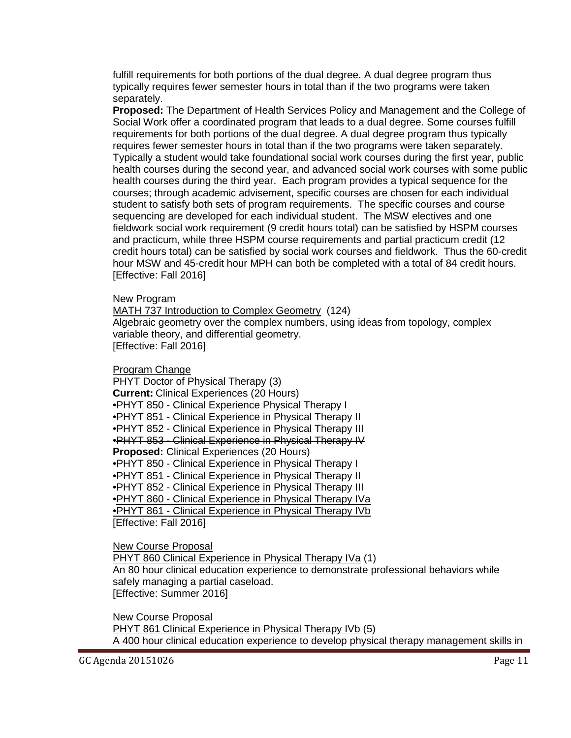fulfill requirements for both portions of the dual degree. A dual degree program thus typically requires fewer semester hours in total than if the two programs were taken separately.

**Proposed:** The Department of Health Services Policy and Management and the College of Social Work offer a coordinated program that leads to a dual degree. Some courses fulfill requirements for both portions of the dual degree. A dual degree program thus typically requires fewer semester hours in total than if the two programs were taken separately. Typically a student would take foundational social work courses during the first year, public health courses during the second year, and advanced social work courses with some public health courses during the third year. Each program provides a typical sequence for the courses; through academic advisement, specific courses are chosen for each individual student to satisfy both sets of program requirements. The specific courses and course sequencing are developed for each individual student. The MSW electives and one fieldwork social work requirement (9 credit hours total) can be satisfied by HSPM courses and practicum, while three HSPM course requirements and partial practicum credit (12 credit hours total) can be satisfied by social work courses and fieldwork. Thus the 60-credit hour MSW and 45-credit hour MPH can both be completed with a total of 84 credit hours. [Effective: Fall 2016]

New Program

MATH 737 Introduction to Complex Geometry (124) Algebraic geometry over the complex numbers, using ideas from topology, complex variable theory, and differential geometry. [Effective: Fall 2016]

Program Change

PHYT Doctor of Physical Therapy (3) **Current:** Clinical Experiences (20 Hours) •PHYT 850 - Clinical Experience Physical Therapy I •PHYT 851 - Clinical Experience in Physical Therapy II •PHYT 852 - Clinical Experience in Physical Therapy III •PHYT 853 - Clinical Experience in Physical Therapy IV **Proposed:** Clinical Experiences (20 Hours) •PHYT 850 - Clinical Experience in Physical Therapy I •PHYT 851 - Clinical Experience in Physical Therapy II •PHYT 852 - Clinical Experience in Physical Therapy III •PHYT 860 - Clinical Experience in Physical Therapy IVa •PHYT 861 - Clinical Experience in Physical Therapy IVb [Effective: Fall 2016]

New Course Proposal

PHYT 860 Clinical Experience in Physical Therapy IVa (1)

An 80 hour clinical education experience to demonstrate professional behaviors while safely managing a partial caseload. [Effective: Summer 2016]

New Course Proposal PHYT 861 Clinical Experience in Physical Therapy IVb (5) A 400 hour clinical education experience to develop physical therapy management skills in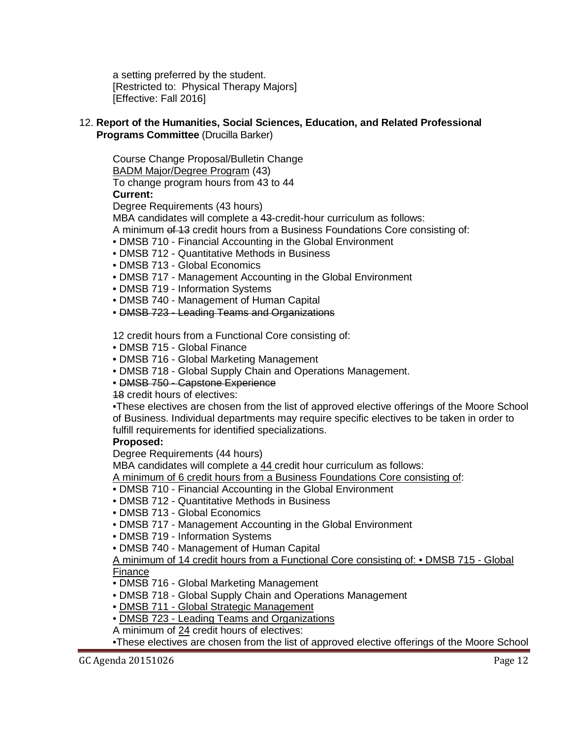a setting preferred by the student. [Restricted to: Physical Therapy Majors] [Effective: Fall 2016]

## 12. **Report of the Humanities, Social Sciences, Education, and Related Professional Programs Committee** (Drucilla Barker)

Course Change Proposal/Bulletin Change BADM Major/Degree Program (43) To change program hours from 43 to 44 **Current:** 

Degree Requirements (43 hours)

MBA candidates will complete a 43-credit-hour curriculum as follows:

A minimum of 13 credit hours from a Business Foundations Core consisting of:

- DMSB 710 Financial Accounting in the Global Environment
- DMSB 712 Quantitative Methods in Business
- DMSB 713 Global Economics
- DMSB 717 Management Accounting in the Global Environment
- DMSB 719 Information Systems
- DMSB 740 Management of Human Capital
- DMSB 723 Leading Teams and Organizations

12 credit hours from a Functional Core consisting of:

- DMSB 715 Global Finance
- DMSB 716 Global Marketing Management
- DMSB 718 Global Supply Chain and Operations Management.
- DMSB 750 Capstone Experience

18 credit hours of electives:

•These electives are chosen from the list of approved elective offerings of the Moore School of Business. Individual departments may require specific electives to be taken in order to fulfill requirements for identified specializations.

## **Proposed:**

Degree Requirements (44 hours)

MBA candidates will complete a 44 credit hour curriculum as follows:

A minimum of 6 credit hours from a Business Foundations Core consisting of:

- DMSB 710 Financial Accounting in the Global Environment
- DMSB 712 Quantitative Methods in Business
- DMSB 713 Global Economics
- DMSB 717 Management Accounting in the Global Environment
- DMSB 719 Information Systems
- DMSB 740 Management of Human Capital

## A minimum of 14 credit hours from a Functional Core consisting of: • DMSB 715 - Global Finance

- DMSB 716 Global Marketing Management
- DMSB 718 Global Supply Chain and Operations Management
- DMSB 711 Global Strategic Management
- DMSB 723 Leading Teams and Organizations
- A minimum of 24 credit hours of electives:
- •These electives are chosen from the list of approved elective offerings of the Moore School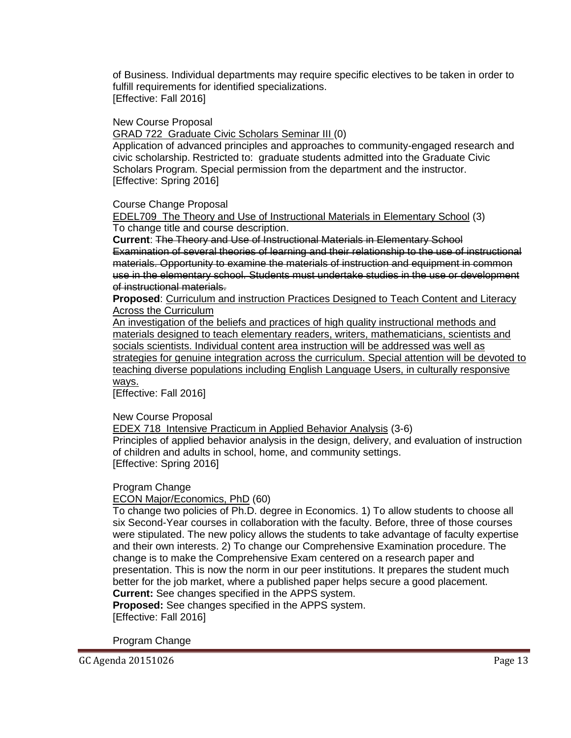of Business. Individual departments may require specific electives to be taken in order to fulfill requirements for identified specializations. [Effective: Fall 2016]

#### New Course Proposal

GRAD 722 Graduate Civic Scholars Seminar III (0)

Application of advanced principles and approaches to community-engaged research and civic scholarship. Restricted to: graduate students admitted into the Graduate Civic Scholars Program. Special permission from the department and the instructor. [Effective: Spring 2016]

#### Course Change Proposal

EDEL709 The Theory and Use of Instructional Materials in Elementary School (3) To change title and course description.

**Current**: The Theory and Use of Instructional Materials in Elementary School Examination of several theories of learning and their relationship to the use of instructional materials. Opportunity to examine the materials of instruction and equipment in common use in the elementary school. Students must undertake studies in the use or development of instructional materials.

**Proposed**: Curriculum and instruction Practices Designed to Teach Content and Literacy Across the Curriculum

An investigation of the beliefs and practices of high quality instructional methods and materials designed to teach elementary readers, writers, mathematicians, scientists and socials scientists. Individual content area instruction will be addressed was well as strategies for genuine integration across the curriculum. Special attention will be devoted to teaching diverse populations including English Language Users, in culturally responsive ways.

[Effective: Fall 2016]

#### New Course Proposal

EDEX 718 Intensive Practicum in Applied Behavior Analysis (3-6)

Principles of applied behavior analysis in the design, delivery, and evaluation of instruction of children and adults in school, home, and community settings. [Effective: Spring 2016]

Program Change

ECON Major/Economics, PhD (60)

To change two policies of Ph.D. degree in Economics. 1) To allow students to choose all six Second-Year courses in collaboration with the faculty. Before, three of those courses were stipulated. The new policy allows the students to take advantage of faculty expertise and their own interests. 2) To change our Comprehensive Examination procedure. The change is to make the Comprehensive Exam centered on a research paper and presentation. This is now the norm in our peer institutions. It prepares the student much better for the job market, where a published paper helps secure a good placement. **Current:** See changes specified in the APPS system.

**Proposed:** See changes specified in the APPS system. [Effective: Fall 2016]

Program Change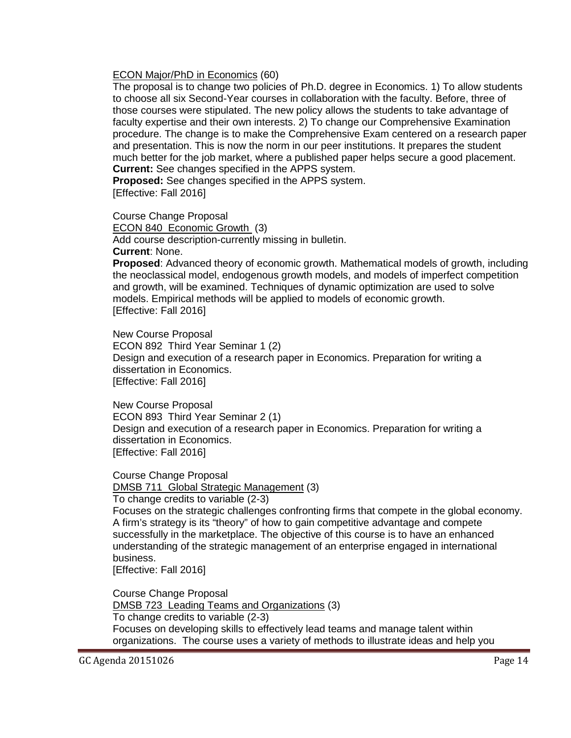#### ECON Major/PhD in Economics (60)

The proposal is to change two policies of Ph.D. degree in Economics. 1) To allow students to choose all six Second-Year courses in collaboration with the faculty. Before, three of those courses were stipulated. The new policy allows the students to take advantage of faculty expertise and their own interests. 2) To change our Comprehensive Examination procedure. The change is to make the Comprehensive Exam centered on a research paper and presentation. This is now the norm in our peer institutions. It prepares the student much better for the job market, where a published paper helps secure a good placement. **Current:** See changes specified in the APPS system.

**Proposed:** See changes specified in the APPS system. [Effective: Fall 2016]

Course Change Proposal

ECON 840 Economic Growth (3) Add course description-currently missing in bulletin. **Current**: None.

**Proposed**: Advanced theory of economic growth. Mathematical models of growth, including the neoclassical model, endogenous growth models, and models of imperfect competition and growth, will be examined. Techniques of dynamic optimization are used to solve models. Empirical methods will be applied to models of economic growth. [Effective: Fall 2016]

New Course Proposal ECON 892 Third Year Seminar 1 (2) Design and execution of a research paper in Economics. Preparation for writing a dissertation in Economics. [Effective: Fall 2016]

New Course Proposal ECON 893 Third Year Seminar 2 (1) Design and execution of a research paper in Economics. Preparation for writing a dissertation in Economics. [Effective: Fall 2016]

Course Change Proposal DMSB 711 Global Strategic Management (3)

To change credits to variable (2-3)

Focuses on the strategic challenges confronting firms that compete in the global economy. A firm's strategy is its "theory" of how to gain competitive advantage and compete successfully in the marketplace. The objective of this course is to have an enhanced understanding of the strategic management of an enterprise engaged in international business.

[Effective: Fall 2016]

Course Change Proposal DMSB 723 Leading Teams and Organizations (3) To change credits to variable (2-3) Focuses on developing skills to effectively lead teams and manage talent within organizations. The course uses a variety of methods to illustrate ideas and help you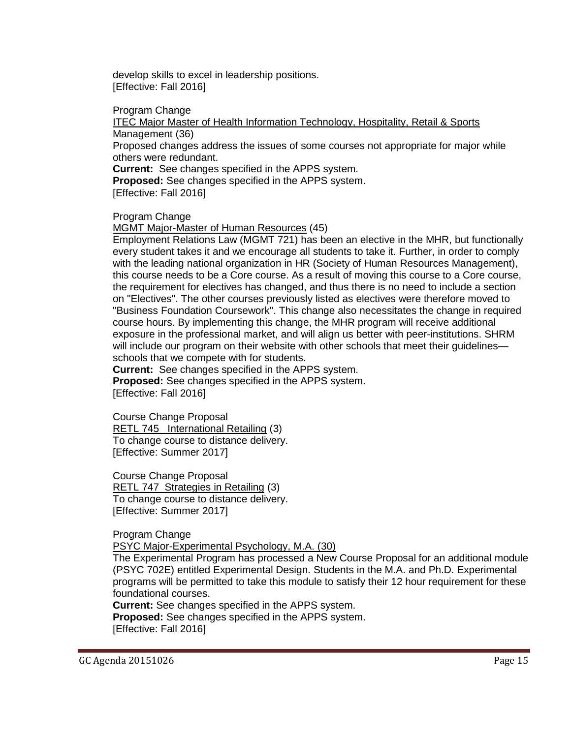develop skills to excel in leadership positions. [Effective: Fall 2016]

Program Change

ITEC Major Master of Health Information Technology, Hospitality, Retail & Sports Management (36)

Proposed changes address the issues of some courses not appropriate for major while others were redundant.

**Current:** See changes specified in the APPS system.

**Proposed:** See changes specified in the APPS system.

[Effective: Fall 2016]

Program Change

MGMT Major-Master of Human Resources (45)

Employment Relations Law (MGMT 721) has been an elective in the MHR, but functionally every student takes it and we encourage all students to take it. Further, in order to comply with the leading national organization in HR (Society of Human Resources Management), this course needs to be a Core course. As a result of moving this course to a Core course, the requirement for electives has changed, and thus there is no need to include a section on "Electives". The other courses previously listed as electives were therefore moved to "Business Foundation Coursework". This change also necessitates the change in required course hours. By implementing this change, the MHR program will receive additional exposure in the professional market, and will align us better with peer-institutions. SHRM will include our program on their website with other schools that meet their guidelines schools that we compete with for students.

**Current:** See changes specified in the APPS system. **Proposed:** See changes specified in the APPS system. [Effective: Fall 2016]

Course Change Proposal RETL 745 International Retailing (3) To change course to distance delivery. [Effective: Summer 2017]

Course Change Proposal RETL 747 Strategies in Retailing (3) To change course to distance delivery. [Effective: Summer 2017]

Program Change

PSYC Major-Experimental Psychology, M.A. (30)

The Experimental Program has processed a New Course Proposal for an additional module (PSYC 702E) entitled Experimental Design. Students in the M.A. and Ph.D. Experimental programs will be permitted to take this module to satisfy their 12 hour requirement for these foundational courses.

**Current:** See changes specified in the APPS system. **Proposed:** See changes specified in the APPS system. [Effective: Fall 2016]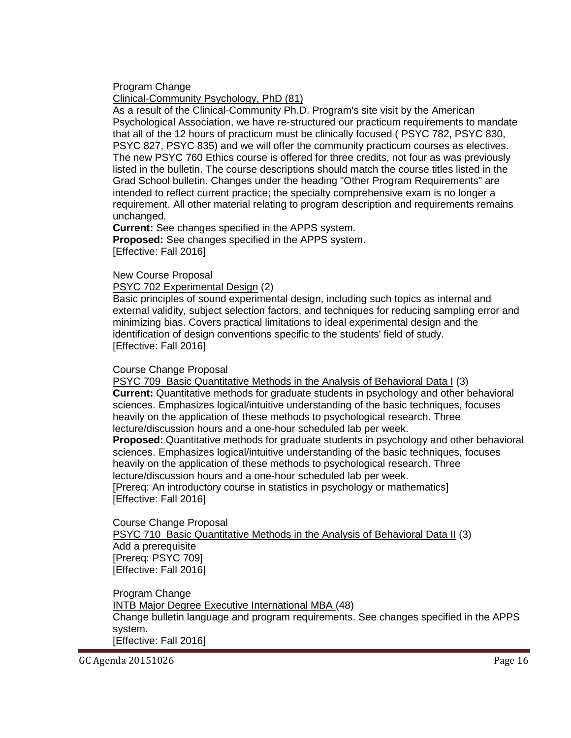Program Change

Clinical-Community Psychology, PhD (81)

As a result of the Clinical-Community Ph.D. Program's site visit by the American Psychological Association, we have re-structured our practicum requirements to mandate that all of the 12 hours of practicum must be clinically focused ( PSYC 782, PSYC 830, PSYC 827, PSYC 835) and we will offer the community practicum courses as electives. The new PSYC 760 Ethics course is offered for three credits, not four as was previously listed in the bulletin. The course descriptions should match the course titles listed in the Grad School bulletin. Changes under the heading "Other Program Requirements" are intended to reflect current practice; the specialty comprehensive exam is no longer a requirement. All other material relating to program description and requirements remains unchanged.

**Current:** See changes specified in the APPS system. **Proposed:** See changes specified in the APPS system. [Effective: Fall 2016]

New Course Proposal

PSYC 702 Experimental Design (2)

Basic principles of sound experimental design, including such topics as internal and external validity, subject selection factors, and techniques for reducing sampling error and minimizing bias. Covers practical limitations to ideal experimental design and the identification of design conventions specific to the students' field of study. [Effective: Fall 2016]

Course Change Proposal

PSYC 709 Basic Quantitative Methods in the Analysis of Behavioral Data I (3) **Current:** Quantitative methods for graduate students in psychology and other behavioral sciences. Emphasizes logical/intuitive understanding of the basic techniques, focuses heavily on the application of these methods to psychological research. Three lecture/discussion hours and a one-hour scheduled lab per week.

**Proposed:** Quantitative methods for graduate students in psychology and other behavioral sciences. Emphasizes logical/intuitive understanding of the basic techniques, focuses heavily on the application of these methods to psychological research. Three lecture/discussion hours and a one-hour scheduled lab per week. [Prereq: An introductory course in statistics in psychology or mathematics]

[Effective: Fall 2016]

Course Change Proposal PSYC 710 Basic Quantitative Methods in the Analysis of Behavioral Data II (3) Add a prerequisite [Prereq: PSYC 709] [Effective: Fall 2016]

Program Change INTB Major Degree Executive International MBA (48) Change bulletin language and program requirements. See changes specified in the APPS system. [Effective: Fall 2016]